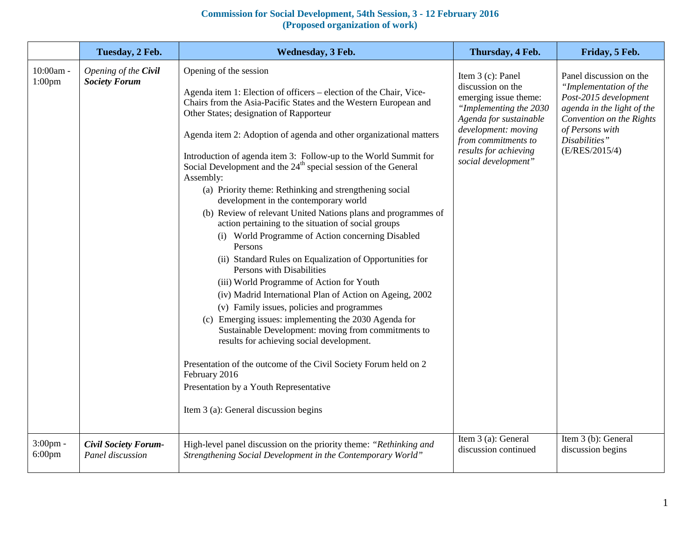## **Commission for Social Development, 54th Session, 3 - 12 February 2016 (Proposed organization of work)**

|                                 | Tuesday, 2 Feb.                                 | Wednesday, 3 Feb.                                                                                                                                                                                                                                                                                                                                                                                                                                                                                                                                                                                                                                                                                                                                                                                                                                                                                                                                                                                                                                                                                                                                                                                                                                                                                                                 | Thursday, 4 Feb.                                                                                                                                                                                                  | Friday, 5 Feb.                                                                                                                                                                             |
|---------------------------------|-------------------------------------------------|-----------------------------------------------------------------------------------------------------------------------------------------------------------------------------------------------------------------------------------------------------------------------------------------------------------------------------------------------------------------------------------------------------------------------------------------------------------------------------------------------------------------------------------------------------------------------------------------------------------------------------------------------------------------------------------------------------------------------------------------------------------------------------------------------------------------------------------------------------------------------------------------------------------------------------------------------------------------------------------------------------------------------------------------------------------------------------------------------------------------------------------------------------------------------------------------------------------------------------------------------------------------------------------------------------------------------------------|-------------------------------------------------------------------------------------------------------------------------------------------------------------------------------------------------------------------|--------------------------------------------------------------------------------------------------------------------------------------------------------------------------------------------|
| 10:00am -<br>1:00 <sub>pm</sub> | Opening of the Civil<br><b>Society Forum</b>    | Opening of the session<br>Agenda item 1: Election of officers – election of the Chair, Vice-<br>Chairs from the Asia-Pacific States and the Western European and<br>Other States; designation of Rapporteur<br>Agenda item 2: Adoption of agenda and other organizational matters<br>Introduction of agenda item 3: Follow-up to the World Summit for<br>Social Development and the 24 <sup>th</sup> special session of the General<br>Assembly:<br>(a) Priority theme: Rethinking and strengthening social<br>development in the contemporary world<br>(b) Review of relevant United Nations plans and programmes of<br>action pertaining to the situation of social groups<br>(i) World Programme of Action concerning Disabled<br>Persons<br>(ii) Standard Rules on Equalization of Opportunities for<br>Persons with Disabilities<br>(iii) World Programme of Action for Youth<br>(iv) Madrid International Plan of Action on Ageing, 2002<br>(v) Family issues, policies and programmes<br>(c) Emerging issues: implementing the 2030 Agenda for<br>Sustainable Development: moving from commitments to<br>results for achieving social development.<br>Presentation of the outcome of the Civil Society Forum held on 2<br>February 2016<br>Presentation by a Youth Representative<br>Item 3 (a): General discussion begins | Item 3 (c): Panel<br>discussion on the<br>emerging issue theme:<br>"Implementing the 2030<br>Agenda for sustainable<br>development: moving<br>from commitments to<br>results for achieving<br>social development" | Panel discussion on the<br>"Implementation of the<br>Post-2015 development<br>agenda in the light of the<br>Convention on the Rights<br>of Persons with<br>Disabilities"<br>(E/RES/2015/4) |
| 3:00pm -<br>$6:00$ pm           | <b>Civil Society Forum-</b><br>Panel discussion | High-level panel discussion on the priority theme: "Rethinking and<br>Strengthening Social Development in the Contemporary World"                                                                                                                                                                                                                                                                                                                                                                                                                                                                                                                                                                                                                                                                                                                                                                                                                                                                                                                                                                                                                                                                                                                                                                                                 | Item 3 (a): General<br>discussion continued                                                                                                                                                                       | Item 3 (b): General<br>discussion begins                                                                                                                                                   |